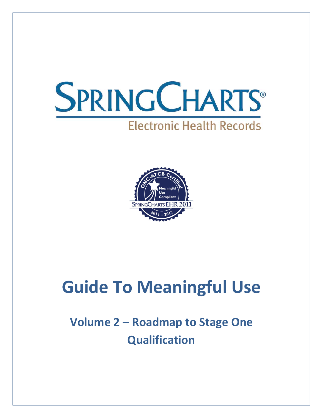



# **Guide To Meaningful Use**

**Volume 2 – Roadmap to Stage One Qualification**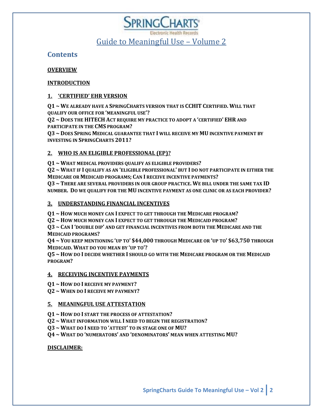### Guide to Meaningful Use – Volume 2

**Contents**

### **[OVERVIEW](#page-2-0)**

### **[INTRODUCTION](#page-3-0)**

### **1. ['CERTIFIED' EHR VERSION](#page-3-1)**

**Q1 ~ [WE ALREADY HAVE A SPRINGCHARTS VERSION THAT IS CCHIT](#page-3-2) CERTIFIED. WILL THAT [QUALIFY OUR OFFICE FOR 'MEANINGFUL USE'?](#page-3-2)**

**Q2 ~ DOES THE HITECH [ACT REQUIRE MY PRACTICE TO ADOPT A 'CERTIFIED'](#page-3-3) EHR AND [PARTICIPATE IN THE CMS](#page-3-3) PROGRAM?**

**Q3 ~ [DOES SPRING MEDICAL GUARANTEE THAT I](#page-4-0) WILL RECEIVE MY MU INCENTIVE PAYMENT BY [INVESTING IN SPRINGCHARTS 2011?](#page-4-0)**

### **2. [WHO IS AN ELIGIBLE PROFESSIONAL \(EP\)?](#page-4-1)**

**Q1 ~ [WHAT MEDICAL PROVIDERS QUALIFY AS ELIGIBLE PROVIDERS?](#page-4-2)**

**Q2 ~ WHAT IF I [QUALIFY AS AN 'ELIGIBLE PROFESSIONAL'](#page-4-3) BUT I DO NOT PARTICIPATE IN EITHER THE [MEDICARE OR MEDICAID PROGRAMS;](#page-4-3) CAN I RECEIVE INCENTIVE PAYMENTS?**

**Q3 ~ [THERE ARE SEVERAL PROVIDERS IN OUR GROUP PRACTICE.](#page-5-0) WE BILL UNDER THE SAME TAX ID NUMBER. DO WE QUALIFY FOR THE MU INCENTIVE PAYMENT [AS ONE CLINIC OR AS EACH PROVIDER?](#page-5-0)**

### **3. [UNDERSTANDING FINANCIAL INCENTIVES](#page-5-1)**

**Q1 ~ HOW MUCH MONEY CAN I [EXPECT TO GET THROUGH THE MEDICARE PROGRAM?](#page-5-2)**

**Q2 ~ HOW MUCH MONEY CAN I [EXPECT TO GET THROUGH THE MEDICAID PROGRAM?](#page-6-0)**

**Q3 ~ CAN I 'DOUBLE DIP' [AND GET FINANCIAL INCENTIVES FROM BOTH THE MEDICARE AND THE](#page-7-0)  [MEDICAID PROGRAMS?](#page-7-0)**

**Q4 ~ YOU KEEP MENTIONING 'UP TO' \$44,000 [THROUGH MEDICARE OR 'UP TO'](#page-7-1) \$63,750 THROUGH MEDICAID. [WHAT DO YOU MEAN BY 'UP TO'?](#page-7-1)**

**Q5 ~ HOW DO I DECIDE WHETHER I [SHOULD GO WITH THE MEDICARE PROGRAM OR THE MEDICAID](#page-7-2)  [PROGRAM?](#page-7-2)**

### **4. [RECEIVING INCENTIVE PAYMENTS](#page-7-3)**

**Q1 ~ HOW DO I [RECEIVE MY PAYMENT?](#page-7-4)**

**Q2 ~ WHEN DO I [RECEIVE MY PAYMENT?](#page-8-0)**

### **5. [MEANINGFUL USE ATTESTATION](#page-8-1)**

**Q1 ~ HOW DO I [START THE PROCESS OF](#page-8-2) ATTESTATION?**

**Q2 ~ WHAT INFORMATION WILL I [NEED TO BEGIN THE REGISTRATION?](#page-8-3)**

**Q3 ~ WHAT DO I NEED TO 'ATTEST' [TO IN STAGE ONE OF MU?](#page-9-0)**

**Q4 ~ WHAT DO 'NUMERATORS' AND 'DENOMINATORS' [MEAN WHEN ATTESTING MU?](#page-9-1)**

**[DISCLAIMER:](#page-10-0)**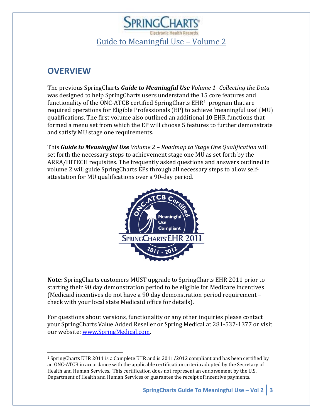Guide to Meaningful Use – Volume 2

### <span id="page-2-0"></span>**OVERVIEW**

The previous SpringCharts *Guide to Meaningful Use Volume 1- Collecting the Data* was designed to help SpringCharts users understand the [15](#page-2-1) core features and functionality of the ONC-ATCB certified SpringCharts  $EHR<sup>1</sup>$  program that are required operations for Eligible Professionals (EP) to achieve 'meaningful use' (MU) qualifications. The first volume also outlined an additional 10 EHR functions that formed a menu set from which the EP will choose 5 features to further demonstrate and satisfy MU stage one requirements.

This *Guide to Meaningful Use Volume 2 – Roadmap to Stage One Qualification* will set forth the necessary steps to achievement stage one MU as set forth by the ARRA/HITECH requisites. The frequently asked questions and answers outlined in volume 2 will guide SpringCharts EPs through all necessary steps to allow selfattestation for MU qualifications over a 90-day period.



**Note:** SpringCharts customers MUST upgrade to SpringCharts EHR 2011 prior to starting their 90 day demonstration period to be eligible for Medicare incentives (Medicaid incentives do not have a 90 day demonstration period requirement – check with your local state Medicaid office for details).

For questions about versions, functionality or any other inquiries please contact your SpringCharts Value Added Reseller or Spring Medical at 281-537-1377 or visit our website: [www.SpringMedical.com.](http://www.springmedical.com/)

<span id="page-2-1"></span> <sup>1</sup> SpringCharts EHR 2011 is a Complete EHR and is 2011/2012 compliant and has been certified by an ONC-ATCB in accordance with the applicable certification criteria adopted by the Secretary of Health and Human Services. This certification does not represent an endorsement by the U.S. Department of Health and Human Services or guarantee the receipt of incentive payments.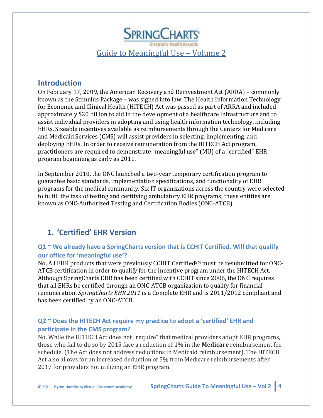

### <span id="page-3-0"></span>**Introduction**

On February 17, 2009, the American Recovery and Reinvestment Act (ARRA) – commonly known as the Stimulus Package – was signed into law. The Health Information Technology for Economic and Clinical Health (HITECH) Act was passed as part of ARRA and included approximately \$20 billion to aid in the development of a healthcare infrastructure and to assist individual providers in adopting and using health information technology, including EHRs. Sizeable incentives available as reimbursements through the Centers for Medicare and Medicaid Services (CMS) will assist providers in selecting, implementing, and deploying EHRs. In order to receive remuneration from the HITECH Act program, practitioners are required to demonstrate "meaningful use" (MU) of a "certified" EHR program beginning as early as 2011.

In September 2010, the ONC launched a two-year temporary certification program to guarantee basic standards, implementation specifications, and functionality of EHR programs for the medical community. Six IT organizations across the country were selected to fulfill the task of testing and certifying ambulatory EHR programs; these entities are known as ONC-Authorized Testing and Certification Bodies (ONC-ATCB).

### <span id="page-3-1"></span>**1. 'Certified' EHR Version**

### <span id="page-3-2"></span>**Q1 ~ We already have a SpringCharts version that is CCHIT Certified. Will that qualify our office for 'meaningful use'?**

No. All EHR products that were previously CCHIT Certified<sup>SM</sup> must be resubmitted for ONC-ATCB certification in order to qualify for the incentive program under the HITECH Act. Although SpringCharts EHR has been certified with CCHIT since 2006, the ONC requires that all EHRs be certified through an ONC-ATCB organization to qualify for financial remuneration. *SpringCharts EHR 2011* is a Complete EHR and is 2011/2012 compliant and has been certified by an ONC-ATCB.

### <span id="page-3-3"></span>**Q2 ~ Does the HITECH Act require my practice to adopt a 'certified' EHR and participate in the CMS program?**

No. While the HITECH Act does not "require" that medical providers adopt EHR programs, those who fail to do so by 2015 face a reduction of 1% in the **Medicare** reimbursement fee schedule. (The Act does not address reductions in Medicaid reimbursement). The HITECH Act also allows for an increased deduction of 5% from Medicare reimbursements after 2017 for providers not utilizing an EHR program.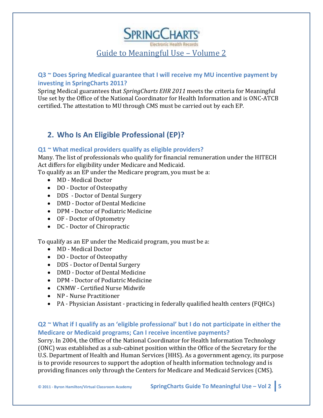### SPRINGCHAR Guide to Meaningful Use – Volume 2

### <span id="page-4-0"></span>**Q3 ~ Does Spring Medical guarantee that I will receive my MU incentive payment by investing in SpringCharts 2011?**

Spring Medical guarantees that *SpringCharts EHR 2011* meets the criteria for Meaningful Use set by the Office of the National Coordinator for Health Information and is ONC-ATCB certified. The attestation to MU through CMS must be carried out by each EP.

### <span id="page-4-1"></span>**2. Who Is An Eligible Professional (EP)?**

### <span id="page-4-2"></span>**Q1 ~ What medical providers qualify as eligible providers?**

Many. The list of professionals who qualify for financial remuneration under the HITECH Act differs for eligibility under Medicare and Medicaid.

To qualify as an EP under the Medicare program, you must be a:

- MD Medical Doctor
- DO Doctor of Osteopathy
- DDS Doctor of Dental Surgery
- DMD Doctor of Dental Medicine
- DPM Doctor of Podiatric Medicine
- OF Doctor of Optometry
- DC Doctor of Chiropractic

To qualify as an EP under the Medicaid program, you must be a:

- MD Medical Doctor
- DO Doctor of Osteopathy
- DDS Doctor of Dental Surgery
- DMD Doctor of Dental Medicine
- DPM Doctor of Podiatric Medicine
- CNMW Certified Nurse Midwife
- NP Nurse Practitioner
- PA Physician Assistant practicing in federally qualified health centers (FQHCs)

### <span id="page-4-3"></span>**Q2 ~ What if I qualify as an 'eligible professional' but I do not participate in either the Medicare or Medicaid programs; Can I receive incentive payments?**

Sorry. In 2004, the Office of the National Coordinator for Health Information Technology (ONC) was established as a sub-cabinet position within the Office of the Secretary for the U.S. Department of Health and Human Services (HHS). As a government agency, its purpose is to provide resources to support the adoption of health information technology and is providing finances only through the Centers for Medicare and Medicaid Services (CMS).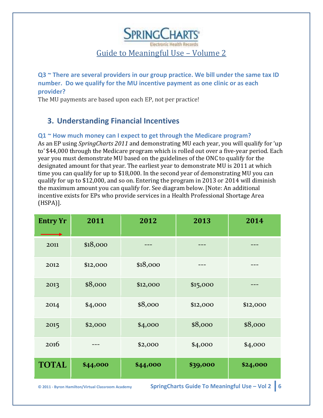## **SPRING CHARTS** <u>Guide to Meaningful Use – Volume 2</u>

<span id="page-5-0"></span>**Q3 ~ There are several providers in our group practice. We bill under the same tax ID number. Do we qualify for the MU incentive payment as one clinic or as each provider?**

<span id="page-5-1"></span>The MU payments are based upon each EP, not per practice!

### **3. Understanding Financial Incentives**

### <span id="page-5-2"></span>**Q1 ~ How much money can I expect to get through the Medicare program?**

As an EP using *SpringCharts 2011* and demonstrating MU each year, you will qualify for 'up to' \$44,000 through the Medicare program which is rolled out over a five-year period. Each year you must demonstrate MU based on the guidelines of the ONC to qualify for the designated amount for that year. The earliest year to demonstrate MU is 2011 at which time you can qualify for up to \$18,000. In the second year of demonstrating MU you can qualify for up to \$12,000, and so on. Entering the program in 2013 or 2014 will diminish the maximum amount you can qualify for. See diagram below. [Note: An additional incentive exists for EPs who provide services in a Health Professional Shortage Area (HSPA)].

| <b>Entry Yr</b> | 2011     | 2012     | 2013     | 2014     |  |
|-----------------|----------|----------|----------|----------|--|
| 2011            | \$18,000 |          |          |          |  |
| 2012            | \$12,000 | \$18,000 |          |          |  |
| 2013            | \$8,000  | \$12,000 | \$15,000 |          |  |
| 2014            | \$4,000  | \$8,000  | \$12,000 | \$12,000 |  |
| 2015            | \$2,000  | \$4,000  | \$8,000  | \$8,000  |  |
| 2016            |          | \$2,000  | \$4,000  | \$4,000  |  |
| <b>TOTAL</b>    | \$44,000 | \$44,000 | \$39,000 | \$24,000 |  |

**© 2011 - Byron Hamilton/Virtual Classroom Academy SpringCharts Guide To Meaningful Use – Vol 2 6**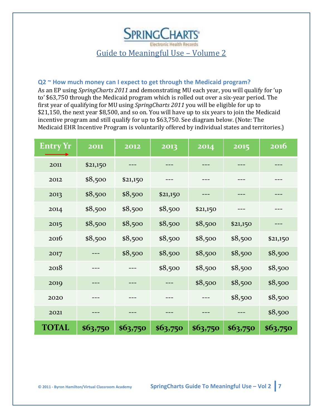

### <span id="page-6-0"></span>**Q2 ~ How much money can I expect to get through the Medicaid program?**

As an EP using *SpringCharts 2011* and demonstrating MU each year, you will qualify for 'up to' \$63,750 through the Medicaid program which is rolled out over a six-year period. The first year of qualifying for MU using *SpringCharts 2011* you will be eligible for up to \$21,150, the next year \$8,500, and so on. You will have up to six years to join the Medicaid incentive program and still qualify for up to \$63,750. See diagram below. (Note: The Medicaid EHR Incentive Program is voluntarily offered by individual states and territories.)

| <b>Entry Yr</b> | 2011     | 2012     | 2013     | 2014     | 2015     | 2016     |
|-----------------|----------|----------|----------|----------|----------|----------|
| 2011            | \$21,150 | ---      | ---      | ---      | ---      | ---      |
| 2012            | \$8,500  | \$21,150 | ---      |          |          |          |
| 2013            | \$8,500  | \$8,500  | \$21,150 |          |          |          |
| 2014            | \$8,500  | \$8,500  | \$8,500  | \$21,150 |          | ---      |
| 2015            | \$8,500  | \$8,500  | \$8,500  | \$8,500  | \$21,150 |          |
| 2016            | \$8,500  | \$8,500  | \$8,500  | \$8,500  | \$8,500  | \$21,150 |
| 2017            | ---      | \$8,500  | \$8,500  | \$8,500  | \$8,500  | \$8,500  |
| 2018            | ---      |          | \$8,500  | \$8,500  | \$8,500  | \$8,500  |
| 2019            | ---      | ---      | ---      | \$8,500  | \$8,500  | \$8,500  |
| 2020            | ---      | ---      | ---      | ---      | \$8,500  | \$8,500  |
| 2021            |          |          |          |          |          | \$8,500  |
| <b>TOTAL</b>    | \$63,750 | \$63,750 | \$63,750 | \$63,750 | \$63,750 | \$63,750 |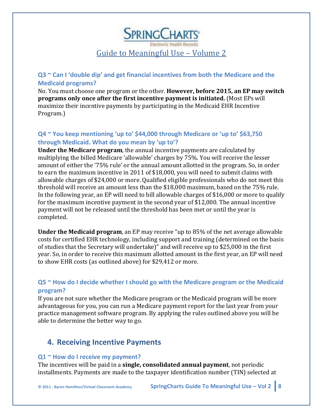### **SPRINGCHAR** Guide to Meaningful Use – Volume 2

### <span id="page-7-0"></span>**Q3 ~ Can I 'double dip' and get financial incentives from both the Medicare and the Medicaid programs?**

No. You must choose one program or the other. **However, before 2015, an EP may switch programs only once after the first incentive payment is initiated.** (Most EPs will maximize their incentive payments by participating in the Medicaid EHR Incentive Program.)

### <span id="page-7-1"></span>**Q4 ~ You keep mentioning 'up to' \$44,000 through Medicare or 'up to' \$63,750 through Medicaid. What do you mean by 'up to'?**

**Under the Medicare program**, the annual incentive payments are calculated by multiplying the billed Medicare 'allowable' charges by 75%. You will receive the lesser amount of either the '75% rule' or the annual amount allotted in the program. So, in order to earn the maximum incentive in 2011 of \$18,000, you will need to submit claims with allowable charges of \$24,000 or more. Qualified eligible professionals who do not meet this threshold will receive an amount less than the \$18,000 maximum, based on the 75% rule. In the following year, an EP will need to bill allowable charges of \$16,000 or more to qualify for the maximum incentive payment in the second year of \$12,000. The annual incentive payment will not be released until the threshold has been met or until the year is completed.

**Under the Medicaid program**, an EP may receive "up to 85% of the net average allowable costs for certified EHR technology, including support and training (determined on the basis of studies that the Secretary will undertake)" and will receive up to \$25,000 in the first year. So, in order to receive this maximum allotted amount in the first year, an EP will need to show EHR costs (as outlined above) for \$29,412 or more.

### <span id="page-7-2"></span>**Q5 ~ How do I decide whether I should go with the Medicare program or the Medicaid program?**

If you are not sure whether the Medicare program or the Medicaid program will be more advantageous for you, you can run a Medicare payment report for the last year from your practice management software program. By applying the rules outlined above you will be able to determine the better way to go.

### <span id="page-7-3"></span>**4. Receiving Incentive Payments**

### <span id="page-7-4"></span>**Q1 ~ How do I receive my payment?**

The incentives will be paid in a **single, consolidated annual payment**, not periodic installments. Payments are made to the taxpayer identification number (TIN) selected at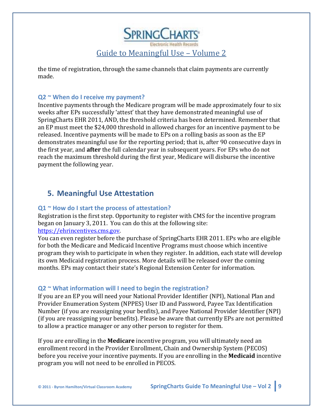

the time of registration, through the same channels that claim payments are currently made.

### <span id="page-8-0"></span>**Q2 ~ When do I receive my payment?**

Incentive payments through the Medicare program will be made approximately four to six weeks after EPs successfully 'attest' that they have demonstrated meaningful use of SpringCharts EHR 2011, AND, the threshold criteria has been determined. Remember that an EP must meet the \$24,000 threshold in allowed charges for an incentive payment to be released. Incentive payments will be made to EPs on a rolling basis as soon as the EP demonstrates meaningful use for the reporting period; that is, after 90 consecutive days in the first year, and **after** the full calendar year in subsequent years. For EPs who do not reach the maximum threshold during the first year, Medicare will disburse the incentive payment the following year.

### <span id="page-8-1"></span>**5. Meaningful Use Attestation**

### <span id="page-8-2"></span>**Q1 ~ How do I start the process of attestation?**

Registration is the first step. Opportunity to register with CMS for the incentive program began on January 3, 2011. You can do this at the following site: [https://ehrincentives.cms.gov.](https://ehrincentives.cms.gov/)

You can even register before the purchase of SpringCharts EHR 2011. EPs who are eligible for both the Medicare and Medicaid Incentive Programs must choose which incentive program they wish to participate in when they register. In addition, each state will develop its own Medicaid registration process. More details will be released over the coming months. EPs may contact their state's Regional Extension Center for information.

### <span id="page-8-3"></span>**Q2 ~ What information will I need to begin the registration?**

If you are an EP you will need your National Provider Identifier (NPI), National Plan and Provider Enumeration System (NPPES) User ID and Password, Payee Tax Identification Number (if you are reassigning your benfits), and Payee National Provider Identifier (NPI) (if you are reassigning your benefits). Please be aware that currently EPs are not permitted to allow a practice manager or any other person to register for them.

If you are enrolling in the **Medicare** incentive program, you will ultimately need an enrollment record in the Provider Enrollment, Chain and Ownership System (PECOS) before you receive your incentive payments. If you are enrolling in the **Medicaid** incentive program you will not need to be enrolled in PECOS.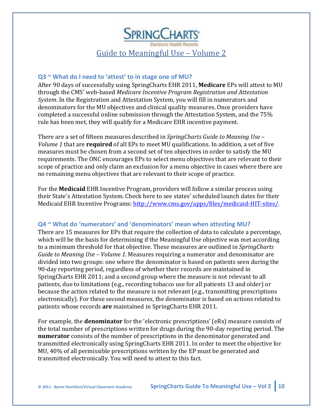

#### <span id="page-9-0"></span>**Q3 ~ What do I need to 'attest' to in stage one of MU?**

After 90 days of successfully using SpringCharts EHR 2011, **Medicare** EPs will attest to MU through the CMS' web-based *Medicare Incentive Program Registration and Attestation System*. In the Registration and Attestation System, you will fill in numerators and denominators for the MU objectives and clinical quality measures. Once providers have completed a successful online submission through the Attestation System, and the 75% rule has been met, they will qualify for a Medicare EHR incentive payment.

There are a set of fifteen measures described in *SpringCharts Guide to Meaning Use – Volume 1* that are **required** of all EPs to meet MU qualifications. In addition, a set of five measures must be chosen from a second set of ten objectives in order to satisfy the MU requirements. The ONC encourages EPs to select menu objectives that are relevant to their scope of practice and only claim an exclusion for a menu objective in cases where there are no remaining menu objectives that are relevant to their scope of practice.

For the **Medicaid** EHR Incentive Program, providers will follow a similar process using their State's Attestation System. Check here to see states' scheduled launch dates for their Medicaid EHR Incentive Programs: [http://www.cms.gov/apps/files/medicaid-HIT-sites/.](http://www.cms.gov/apps/files/medicaid-HIT-sites/)

#### <span id="page-9-1"></span>**Q4 ~ What do 'numerators' and 'denominators' mean when attesting MU?**

There are 15 measures for EPs that require the collection of data to calculate a percentage, which will be the basis for determining if the Meaningful Use objective was met according to a minimum threshold for that objective. These measures are outlined in *SpringCharts Guide to Meaning Use – Volume 1*. Measures requiring a numerator and denominator are divided into two groups: one where the denominator is based on patients seen during the 90-day reporting period, regardless of whether their records are maintained in SpringCharts EHR 2011; and a second group where the measure is not relevant to all patients, due to limitations (e.g., recording tobacco use for all patients 13 and older) or because the action related to the measure is not relevant (e.g., transmitting prescriptions electronically). For these second measures, the denominator is based on actions related to patients whose records **are** maintained in SpringCharts EHR 2011.

For example, the **denominator** for the 'electronic prescriptions' (eRx) measure consists of the total number of prescriptions written for drugs during the 90-day reporting period. The **numerator** consists of the number of prescriptions in the denominator generated and transmitted electronically using SpringCharts EHR 2011. In order to meet the objective for MU, 40% of all permissible prescriptions written by the EP must be generated and transmitted electronically. You will need to attest to this fact.